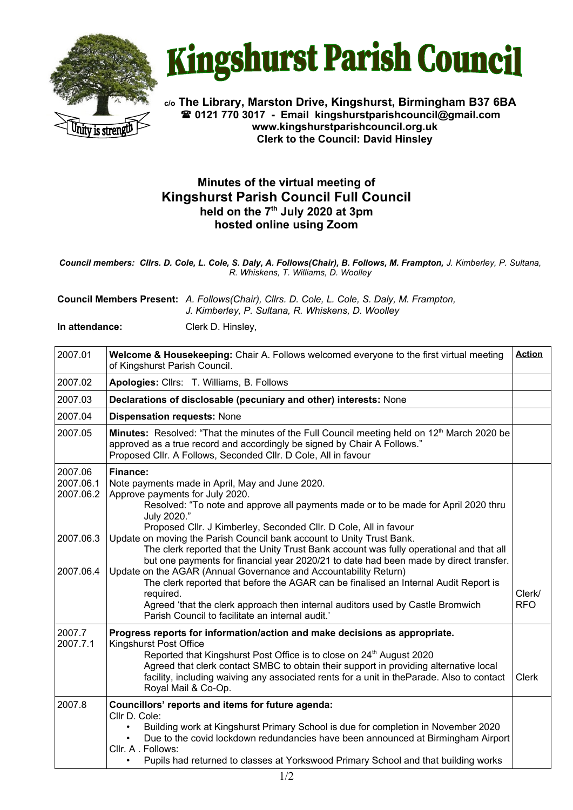



**c/o The Library, Marston Drive, Kingshurst, Birmingham B37 6BA 0121 770 3017 - Email [kingshurstparishcouncil@gmail.com](mailto:kingshurstparishcouncil@gmail.com) www.kingshurstparishcouncil.org.uk Clerk to the Council: David Hinsley** 

## **Minutes of the virtual meeting of Kingshurst Parish Council Full Council held on the 7 th July 2020 at 3pm hosted online using Zoom**

*Council members: Cllrs. D. Cole, L. Cole, S. Daly, A. Follows(Chair), B. Follows, M. Frampton, J. Kimberley, P. Sultana, R. Whiskens, T. Williams, D. Woolley*

**Council Members Present:** *A. Follows(Chair), Cllrs. D. Cole, L. Cole, S. Daly, M. Frampton, J. Kimberley, P. Sultana, R. Whiskens, D. Woolley*

**In attendance:** Clerk D. Hinsley,

| 2007.01                           | Welcome & Housekeeping: Chair A. Follows welcomed everyone to the first virtual meeting<br>of Kingshurst Parish Council.                                                                                                                                                                                                                                                                                              | <b>Action</b>        |
|-----------------------------------|-----------------------------------------------------------------------------------------------------------------------------------------------------------------------------------------------------------------------------------------------------------------------------------------------------------------------------------------------------------------------------------------------------------------------|----------------------|
| 2007.02                           | Apologies: Cllrs: T. Williams, B. Follows                                                                                                                                                                                                                                                                                                                                                                             |                      |
| 2007.03                           | Declarations of disclosable (pecuniary and other) interests: None                                                                                                                                                                                                                                                                                                                                                     |                      |
| 2007.04                           | <b>Dispensation requests: None</b>                                                                                                                                                                                                                                                                                                                                                                                    |                      |
| 2007.05                           | Minutes: Resolved: "That the minutes of the Full Council meeting held on 12 <sup>th</sup> March 2020 be<br>approved as a true record and accordingly be signed by Chair A Follows."<br>Proposed Cllr. A Follows, Seconded Cllr. D Cole, All in favour                                                                                                                                                                 |                      |
| 2007.06<br>2007.06.1<br>2007.06.2 | Finance:<br>Note payments made in April, May and June 2020.<br>Approve payments for July 2020.<br>Resolved: "To note and approve all payments made or to be made for April 2020 thru<br>July 2020."<br>Proposed Cllr. J Kimberley, Seconded Cllr. D Cole, All in favour                                                                                                                                               |                      |
| 2007.06.3<br>2007.06.4            | Update on moving the Parish Council bank account to Unity Trust Bank.<br>The clerk reported that the Unity Trust Bank account was fully operational and that all<br>but one payments for financial year 2020/21 to date had been made by direct transfer.<br>Update on the AGAR (Annual Governance and Accountability Return)<br>The clerk reported that before the AGAR can be finalised an Internal Audit Report is |                      |
|                                   | required.<br>Agreed 'that the clerk approach then internal auditors used by Castle Bromwich<br>Parish Council to facilitate an internal audit.                                                                                                                                                                                                                                                                        | Clerk/<br><b>RFO</b> |
| 2007.7<br>2007.7.1                | Progress reports for information/action and make decisions as appropriate.<br>Kingshurst Post Office<br>Reported that Kingshurst Post Office is to close on 24 <sup>th</sup> August 2020<br>Agreed that clerk contact SMBC to obtain their support in providing alternative local<br>facility, including waiving any associated rents for a unit in theParade. Also to contact<br>Royal Mail & Co-Op.                 | <b>Clerk</b>         |
| 2007.8                            | Councillors' reports and items for future agenda:<br>Cllr D. Cole:<br>Building work at Kingshurst Primary School is due for completion in November 2020<br>Due to the covid lockdown redundancies have been announced at Birmingham Airport<br>Cllr. A. Follows:<br>Pupils had returned to classes at Yorkswood Primary School and that building works                                                                |                      |